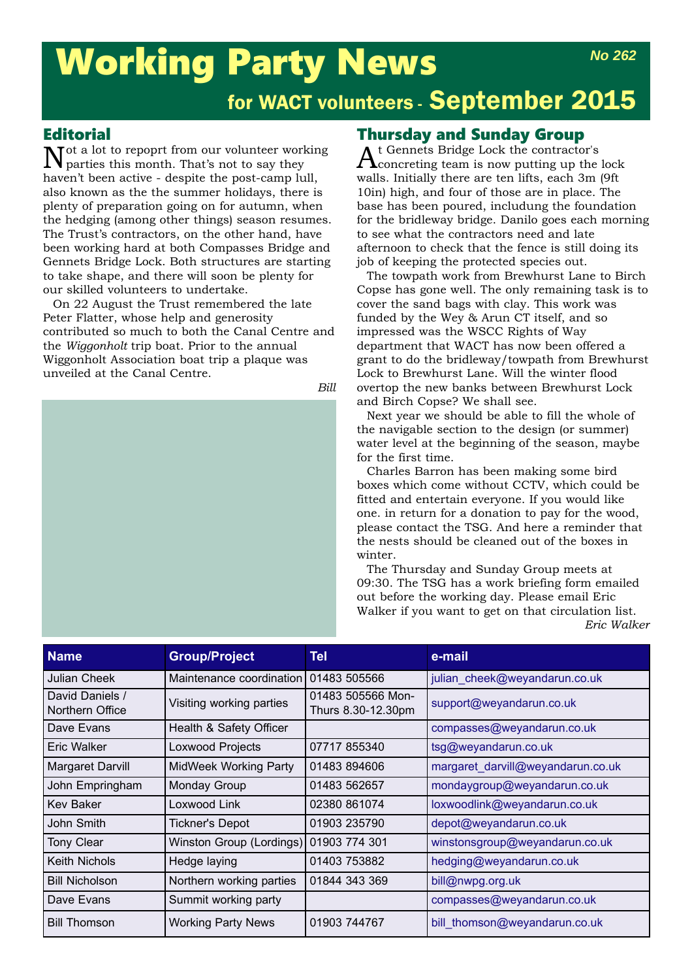# Working Party News *No 262*

# for WACT volunteers - September 2015

### Editorial

Not a lot to repoprt from our volunteer working parties this month. That's not to say they haven't been active - despite the post-camp lull, also known as the the summer holidays, there is plenty of preparation going on for autumn, when the hedging (among other things) season resumes. The Trust's contractors, on the other hand, have been working hard at both Compasses Bridge and Gennets Bridge Lock. Both structures are starting to take shape, and there will soon be plenty for our skilled volunteers to undertake.

On 22 August the Trust remembered the late Peter Flatter, whose help and generosity contributed so much to both the Canal Centre and the *Wiggonholt* trip boat. Prior to the annual Wiggonholt Association boat trip a plaque was unveiled at the Canal Centre.



### Thursday and Sunday Group

 $A$ t Gennets Bridge Lock the contractor's concreting team is now putting up the lock walls. Initially there are ten lifts, each 3m (9ft 10in) high, and four of those are in place. The base has been poured, includung the foundation for the bridleway bridge. Danilo goes each morning to see what the contractors need and late afternoon to check that the fence is still doing its job of keeping the protected species out.

The towpath work from Brewhurst Lane to Birch Copse has gone well. The only remaining task is to cover the sand bags with clay. This work was funded by the Wey & Arun CT itself, and so impressed was the WSCC Rights of Way department that WACT has now been offered a grant to do the bridleway/towpath from Brewhurst Lock to Brewhurst Lane. Will the winter flood overtop the new banks between Brewhurst Lock and Birch Copse? We shall see.

Next year we should be able to fill the whole of the navigable section to the design (or summer) water level at the beginning of the season, maybe for the first time.

Charles Barron has been making some bird boxes which come without CCTV, which could be fitted and entertain everyone. If you would like one. in return for a donation to pay for the wood, please contact the TSG. And here a reminder that the nests should be cleaned out of the boxes in winter.

The Thursday and Sunday Group meets at 09:30. The TSG has a work briefing form emailed out before the working day. Please email Eric Walker if you want to get on that circulation list. *Eric Walker*

| <b>Name</b>                        | <b>Group/Project</b>         | Tel                                     | e-mail                            |
|------------------------------------|------------------------------|-----------------------------------------|-----------------------------------|
| <b>Julian Cheek</b>                | Maintenance coordination     | 01483 505566                            | julian cheek@weyandarun.co.uk     |
| David Daniels /<br>Northern Office | Visiting working parties     | 01483 505566 Mon-<br>Thurs 8.30-12.30pm | support@weyandarun.co.uk          |
| Dave Evans                         | Health & Safety Officer      |                                         | compasses@weyandarun.co.uk        |
| Eric Walker                        | Loxwood Projects             | 07717 855340                            | tsg@weyandarun.co.uk              |
| Margaret Darvill                   | <b>MidWeek Working Party</b> | 01483 894606                            | margaret_darvill@weyandarun.co.uk |
| John Empringham                    | Monday Group                 | 01483 562657                            | mondaygroup@weyandarun.co.uk      |
| <b>Kev Baker</b>                   | Loxwood Link                 | 02380 861074                            | loxwoodlink@weyandarun.co.uk      |
| John Smith                         | <b>Tickner's Depot</b>       | 01903 235790                            | depot@weyandarun.co.uk            |
| Tony Clear                         | Winston Group (Lordings)     | 01903 774 301                           | winstonsgroup@weyandarun.co.uk    |
| Keith Nichols                      | Hedge laying                 | 01403 753882                            | hedging@weyandarun.co.uk          |
| <b>Bill Nicholson</b>              | Northern working parties     | 01844 343 369                           | bill@nwpg.org.uk                  |
| Dave Evans                         | Summit working party         |                                         | compasses@weyandarun.co.uk        |
| <b>Bill Thomson</b>                | <b>Working Party News</b>    | 01903 744767                            | bill thomson@weyandarun.co.uk     |